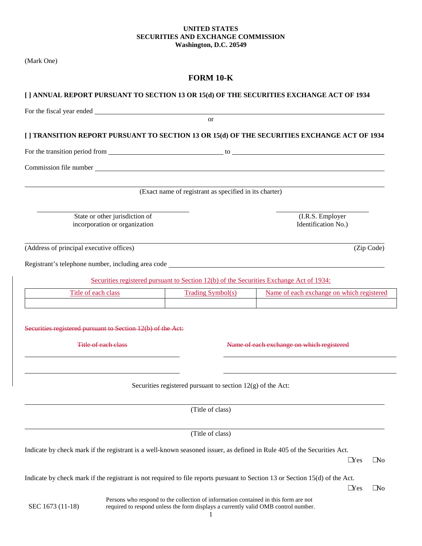### **UNITED STATES SECURITIES AND EXCHANGE COMMISSION Washington, D.C. 20549**

(Mark One)

# **FORM 10-K**

|                                                             |                                |                                                                                                                                                                                                                                | [] ANNUAL REPORT PURSUANT TO SECTION 13 OR 15(d) OF THE SECURITIES EXCHANGE ACT OF 1934                                                                                                                                        |  |
|-------------------------------------------------------------|--------------------------------|--------------------------------------------------------------------------------------------------------------------------------------------------------------------------------------------------------------------------------|--------------------------------------------------------------------------------------------------------------------------------------------------------------------------------------------------------------------------------|--|
|                                                             |                                | For the fiscal year ended services and the services of the services of the services of the services of the services of the services of the services of the services of the services of the services of the services of the ser |                                                                                                                                                                                                                                |  |
|                                                             |                                | $\alpha$                                                                                                                                                                                                                       |                                                                                                                                                                                                                                |  |
|                                                             |                                |                                                                                                                                                                                                                                | [] TRANSITION REPORT PURSUANT TO SECTION 13 OR 15(d) OF THE SECURITIES EXCHANGE ACT OF 1934                                                                                                                                    |  |
|                                                             |                                |                                                                                                                                                                                                                                | For the transition period from the contract of the contract of the contract of the contract of the contract of the contract of the contract of the contract of the contract of the contract of the contract of the contract of |  |
|                                                             |                                |                                                                                                                                                                                                                                |                                                                                                                                                                                                                                |  |
|                                                             |                                |                                                                                                                                                                                                                                |                                                                                                                                                                                                                                |  |
|                                                             |                                | (Exact name of registrant as specified in its charter)                                                                                                                                                                         |                                                                                                                                                                                                                                |  |
|                                                             | State or other jurisdiction of |                                                                                                                                                                                                                                | (I.R.S. Employer                                                                                                                                                                                                               |  |
|                                                             | incorporation or organization  |                                                                                                                                                                                                                                | Identification No.)                                                                                                                                                                                                            |  |
|                                                             |                                |                                                                                                                                                                                                                                |                                                                                                                                                                                                                                |  |
| (Address of principal executive offices)                    |                                |                                                                                                                                                                                                                                | (Zip Code)                                                                                                                                                                                                                     |  |
|                                                             |                                |                                                                                                                                                                                                                                | Registrant's telephone number, including area code ______________________________                                                                                                                                              |  |
|                                                             |                                | Securities registered pursuant to Section 12(b) of the Securities Exchange Act of 1934:                                                                                                                                        |                                                                                                                                                                                                                                |  |
| Title of each class                                         |                                | <b>Trading Symbol(s)</b>                                                                                                                                                                                                       | Name of each exchange on which registered                                                                                                                                                                                      |  |
|                                                             |                                |                                                                                                                                                                                                                                |                                                                                                                                                                                                                                |  |
|                                                             |                                |                                                                                                                                                                                                                                |                                                                                                                                                                                                                                |  |
| Securities registered pursuant to Section 12(b) of the Act: |                                |                                                                                                                                                                                                                                |                                                                                                                                                                                                                                |  |
| Title of each class                                         |                                |                                                                                                                                                                                                                                | Name of each exchange on which registered                                                                                                                                                                                      |  |
|                                                             |                                |                                                                                                                                                                                                                                |                                                                                                                                                                                                                                |  |
|                                                             |                                |                                                                                                                                                                                                                                |                                                                                                                                                                                                                                |  |
|                                                             |                                | Securities registered pursuant to section $12(g)$ of the Act:                                                                                                                                                                  |                                                                                                                                                                                                                                |  |
|                                                             |                                | (Title of class)                                                                                                                                                                                                               |                                                                                                                                                                                                                                |  |
|                                                             |                                |                                                                                                                                                                                                                                |                                                                                                                                                                                                                                |  |
|                                                             |                                | (Title of class)                                                                                                                                                                                                               |                                                                                                                                                                                                                                |  |
|                                                             |                                |                                                                                                                                                                                                                                | Indicate by check mark if the registrant is a well-known seasoned issuer, as defined in Rule 405 of the Securities Act.                                                                                                        |  |
|                                                             |                                |                                                                                                                                                                                                                                | $\Box$ Yes<br>$\Box$ No                                                                                                                                                                                                        |  |
|                                                             |                                |                                                                                                                                                                                                                                | Indicate by check mark if the registrant is not required to file reports pursuant to Section 13 or Section 15(d) of the Act.                                                                                                   |  |
|                                                             |                                |                                                                                                                                                                                                                                | $\Box$ Yes<br>$\Box$ No                                                                                                                                                                                                        |  |
| SEC 1673 (11-18)                                            |                                | Persons who respond to the collection of information contained in this form are not<br>required to respond unless the form displays a currently valid OMB control number.                                                      |                                                                                                                                                                                                                                |  |